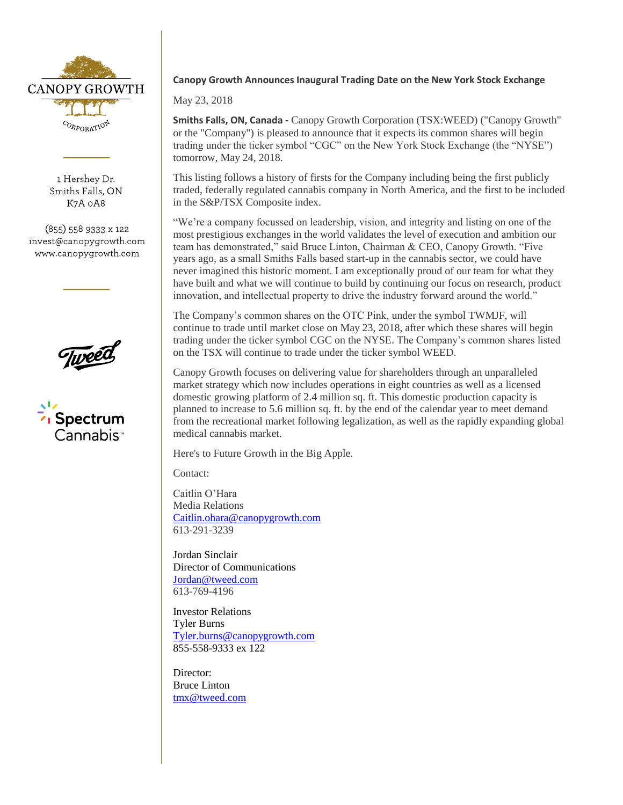

1 Hershey Dr. Smiths Falls, ON K7A 0A8

(855) 558 9333 x 122 invest@canopygrowth.com www.canopygrowth.com





## **Canopy Growth Announces Inaugural Trading Date on the New York Stock Exchange**

May 23, 2018

**Smiths Falls, ON, Canada -** Canopy Growth Corporation (TSX:WEED) ("Canopy Growth" or the "Company") is pleased to announce that it expects its common shares will begin trading under the ticker symbol "CGC" on the New York Stock Exchange (the "NYSE") tomorrow, May 24, 2018.

This listing follows a history of firsts for the Company including being the first publicly traded, federally regulated cannabis company in North America, and the first to be included in the S&P/TSX Composite index.

"We're a company focussed on leadership, vision, and integrity and listing on one of the most prestigious exchanges in the world validates the level of execution and ambition our team has demonstrated," said Bruce Linton, Chairman & CEO, Canopy Growth. "Five years ago, as a small Smiths Falls based start-up in the cannabis sector, we could have never imagined this historic moment. I am exceptionally proud of our team for what they have built and what we will continue to build by continuing our focus on research, product innovation, and intellectual property to drive the industry forward around the world."

The Company's common shares on the OTC Pink, under the symbol TWMJF, will continue to trade until market close on May 23, 2018, after which these shares will begin trading under the ticker symbol CGC on the NYSE. The Company's common shares listed on the TSX will continue to trade under the ticker symbol WEED.

Canopy Growth focuses on delivering value for shareholders through an unparalleled market strategy which now includes operations in eight countries as well as a licensed domestic growing platform of 2.4 million sq. ft. This domestic production capacity is planned to increase to 5.6 million sq. ft. by the end of the calendar year to meet demand from the recreational market following legalization, as well as the rapidly expanding global medical cannabis market.

Here's to Future Growth in the Big Apple.

Contact:

Caitlin O'Hara Media Relations [Caitlin.ohara@canopygrowth.com](mailto:Caitlin.ohara@canopygrowth.com) 613-291-3239

Jordan Sinclair Director of Communications [Jordan@tweed.com](mailto:Jordan@tweed.com) 613-769-4196

Investor Relations Tyler Burns [Tyler.burns@canopygrowth.com](mailto:Tyler.burns@canopygrowth.com) 855-558-9333 ex 122

Director: Bruce Linton [tmx@tweed.com](mailto:tmx@tweed.com)